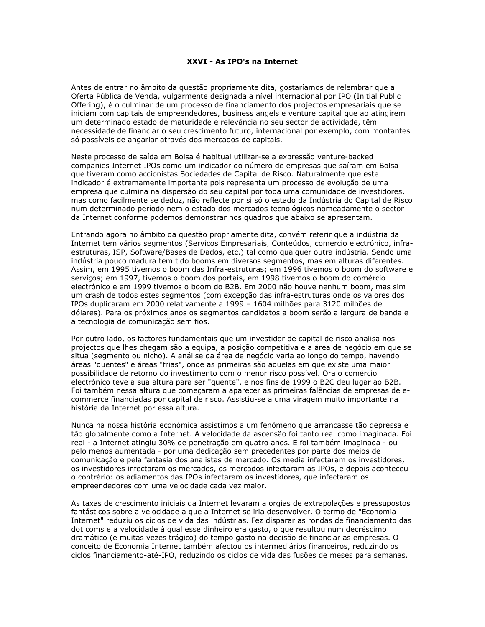## XXVI - As IPO's na Internet

Antes de entrar no âmbito da questão propriamente dita, gostaríamos de relembrar que a Oferta Pública de Venda, vulgarmente designada a nível internacional por IPO (Initial Public Offering), é o culminar de um processo de financiamento dos projectos empresariais que se iniciam com capitais de empreendedores, business angels e venture capital que ao atingirem um determinado estado de maturidade e relevância no seu sector de actividade, têm necessidade de financiar o seu crescimento futuro, internacional por exemplo, com montantes só possíveis de angariar através dos mercados de capitais.

Neste processo de saída em Bolsa é habitual utilizar-se a expressão venture-backed companies Internet IPOs como um indicador do número de empresas que saíram em Bolsa que tiveram como accionistas Sociedades de Capital de Risco. Naturalmente que este indicador é extremamente importante pois representa um processo de evolução de uma empresa que culmina na dispersão do seu capital por toda uma comunidade de investidores, mas como facilmente se deduz, não reflecte por si só o estado da Indústria do Capital de Risco num determinado período nem o estado dos mercados tecnológicos nomeadamente o sector da Internet conforme podemos demonstrar nos quadros que abaixo se apresentam.

Entrando agora no âmbito da questão propriamente dita, convém referir que a indústria da Internet tem vários segmentos (Serviços Empresariais, Conteúdos, comercio electrónico, infraestruturas, ISP, Software/Bases de Dados, etc.) tal como qualquer outra indústria. Sendo uma indústria pouco madura tem tido booms em diversos segmentos, mas em alturas diferentes. Assim, em 1995 tivemos o boom das Infra-estruturas; em 1996 tivemos o boom do software e serviços; em 1997, tivemos o boom dos portais, em 1998 tivemos o boom do comércio electrónico e em 1999 tivemos o boom do B2B. Em 2000 não houve nenhum boom, mas sim um crash de todos estes segmentos (com excepção das infra-estruturas onde os valores dos IPOs duplicaram em 2000 relativamente a 1999 - 1604 milhões para 3120 milhões de dólares). Para os próximos anos os segmentos candidatos a boom serão a largura de banda e a tecnologia de comunicação sem fios.

Por outro lado, os factores fundamentais que um investidor de capital de risco analisa nos projectos que lhes chegam são a equipa, a posição competitiva e a área de negócio em que se situa (segmento ou nicho). A análise da área de negócio varia ao longo do tempo, havendo áreas "quentes" e áreas "frias", onde as primeiras são aquelas em que existe uma maior possibilidade de retorno do investimento com o menor risco possível. Ora o comércio electrónico teve a sua altura para ser "quente", e nos fins de 1999 o B2C deu lugar ao B2B. Foi também nessa altura que comecaram a aparecer as primeiras falências de empresas de ecommerce financiadas por capital de risco. Assistiu-se a uma viragem muito importante na história da Internet por essa altura.

Nunca na nossa história económica assistimos a um fenómeno que arrancasse tão depressa e tão globalmente como a Internet. A velocidade da ascensão foi tanto real como imaginada. Foi real - a Internet atingiu 30% de penetração em quatro anos. E foi também imaginada - ou pelo menos aumentada - por uma dedicação sem precedentes por parte dos meios de comunicação e pela fantasia dos analistas de mercado. Os media infectaram os investidores, os investidores infectaram os mercados, os mercados infectaram as IPOs, e depois aconteceu o contrário: os adiamentos das IPOs infectaram os investidores, que infectaram os empreendedores com uma velocidade cada vez maior.

As taxas de crescimento iniciais da Internet levaram a orgias de extrapolações e pressupostos fantásticos sobre a velocidade a que a Internet se iria desenvolver. O termo de "Economia Internet" reduziu os ciclos de vida das indústrias. Fez disparar as rondas de financiamento das dot coms e a velocidade à qual esse dinheiro era gasto, o que resultou num decréscimo dramático (e muitas vezes trágico) do tempo gasto na decisão de financiar as empresas. O conceito de Economia Internet também afectou os intermediários financeiros, reduzindo os ciclos financiamento-até-IPO, reduzindo os ciclos de vida das fusões de meses para semanas.